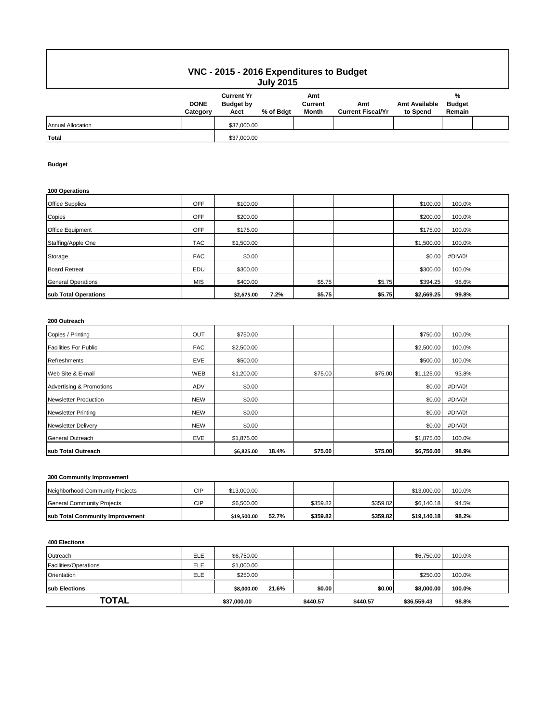# **VNC - 2015 - 2016 Expenditures to Budget July 2015**

| ---------                |                         |                                               |           |                         |                                 |                                  |                              |  |  |
|--------------------------|-------------------------|-----------------------------------------------|-----------|-------------------------|---------------------------------|----------------------------------|------------------------------|--|--|
|                          | <b>DONE</b><br>Category | <b>Current Yr</b><br><b>Budget by</b><br>Acct | % of Bdgt | Amt<br>Current<br>Month | Amt<br><b>Current Fiscal/Yr</b> | <b>Amt Available</b><br>to Spend | %<br><b>Budget</b><br>Remain |  |  |
| <b>Annual Allocation</b> |                         | \$37,000.00                                   |           |                         |                                 |                                  |                              |  |  |
| <b>Total</b>             |                         | \$37,000.00                                   |           |                         |                                 |                                  |                              |  |  |

### **Budget**

### **100 Operations**

| <b>Office Supplies</b>    | OFF        | \$100.00   |      |        |        | \$100.00   | 100.0%  |  |
|---------------------------|------------|------------|------|--------|--------|------------|---------|--|
| Copies                    | OFF        | \$200.00   |      |        |        | \$200.00   | 100.0%  |  |
| Office Equipment          | <b>OFF</b> | \$175.00   |      |        |        | \$175.00   | 100.0%  |  |
| Staffing/Apple One        | <b>TAC</b> | \$1,500.00 |      |        |        | \$1,500.00 | 100.0%  |  |
| Storage                   | <b>FAC</b> | \$0.00     |      |        |        | \$0.00     | #DIV/0! |  |
| <b>Board Retreat</b>      | EDU        | \$300.00   |      |        |        | \$300.00   | 100.0%  |  |
| <b>General Operations</b> | <b>MIS</b> | \$400.00   |      | \$5.75 | \$5.75 | \$394.25   | 98.6%   |  |
| sub Total Operations      |            | \$2,675.00 | 7.2% | \$5.75 | \$5.75 | \$2,669.25 | 99.8%   |  |

### **200 Outreach**

| Copies / Printing                   | <b>OUT</b> | \$750.00   |       |         |         | \$750.00   | 100.0%  |  |
|-------------------------------------|------------|------------|-------|---------|---------|------------|---------|--|
| <b>Facilities For Public</b>        | <b>FAC</b> | \$2,500.00 |       |         |         | \$2,500.00 | 100.0%  |  |
| Refreshments                        | EVE        | \$500.00   |       |         |         | \$500.00   | 100.0%  |  |
| Web Site & E-mail                   | <b>WEB</b> | \$1,200.00 |       | \$75.00 | \$75.00 | \$1,125.00 | 93.8%   |  |
| <b>Advertising &amp; Promotions</b> | <b>ADV</b> | \$0.00     |       |         |         | \$0.00     | #DIV/0! |  |
| <b>Newsletter Production</b>        | <b>NEW</b> | \$0.00     |       |         |         | \$0.00     | #DIV/0! |  |
| <b>Newsletter Printing</b>          | <b>NEW</b> | \$0.00     |       |         |         | \$0.00     | #DIV/0! |  |
| <b>Newsletter Delivery</b>          | <b>NEW</b> | \$0.00     |       |         |         | \$0.00     | #DIV/0! |  |
| <b>General Outreach</b>             | <b>EVE</b> | \$1,875.00 |       |         |         | \$1,875.00 | 100.0%  |  |
| sub Total Outreach                  |            | \$6,825.00 | 18.4% | \$75.00 | \$75.00 | \$6,750.00 | 98.9%   |  |

# **300 Community Improvement**

| Neighborhood Community Projects         | CIP | \$13,000.00 |       |          |          | \$13,000.00 | 100.0% |  |
|-----------------------------------------|-----|-------------|-------|----------|----------|-------------|--------|--|
| General Community Projects              | CIP | \$6,500.00  |       | \$359.82 | \$359.82 | \$6.140.18  | 94.5%  |  |
| <b>Isub Total Community Improvement</b> |     | \$19,500.00 | 52.7% | \$359.82 | \$359.82 | \$19.140.18 | 98.2%  |  |

#### **400 Elections**

| Outreach              | <b>ELE</b> | \$6,750.00  |       |          |          | \$6,750.00  | 100.0% |  |
|-----------------------|------------|-------------|-------|----------|----------|-------------|--------|--|
| Facilities/Operations | <b>ELE</b> | \$1,000.00  |       |          |          |             |        |  |
| Orientation           | ELE        | \$250.00    |       |          |          | \$250.00    | 100.0% |  |
| <b>Isub Elections</b> |            | \$8,000.00  | 21.6% | \$0.00   | \$0.00   | \$8,000.00  | 100.0% |  |
| TOTAL                 |            | \$37,000.00 |       | \$440.57 | \$440.57 | \$36,559.43 | 98.8%  |  |